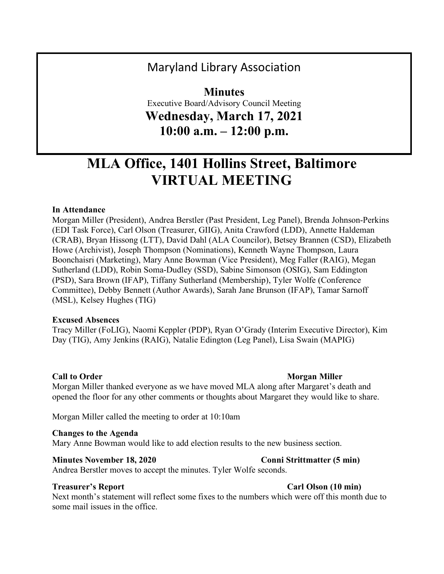# Maryland Library Association

**Minutes** Executive Board/Advisory Council Meeting **Wednesday, March 17, 2021 10:00 a.m. – 12:00 p.m.**

# **MLA Office, 1401 Hollins Street, Baltimore VIRTUAL MEETING**

### **In Attendance**

Morgan Miller (President), Andrea Berstler (Past President, Leg Panel), Brenda Johnson-Perkins (EDI Task Force), Carl Olson (Treasurer, GIIG), Anita Crawford (LDD), Annette Haldeman (CRAB), Bryan Hissong (LTT), David Dahl (ALA Councilor), Betsey Brannen (CSD), Elizabeth Howe (Archivist), Joseph Thompson (Nominations), Kenneth Wayne Thompson, Laura Boonchaisri (Marketing), Mary Anne Bowman (Vice President), Meg Faller (RAIG), Megan Sutherland (LDD), Robin Soma-Dudley (SSD), Sabine Simonson (OSIG), Sam Eddington (PSD), Sara Brown (IFAP), Tiffany Sutherland (Membership), Tyler Wolfe (Conference Committee), Debby Bennett (Author Awards), Sarah Jane Brunson (IFAP), Tamar Sarnoff (MSL), Kelsey Hughes (TIG)

#### **Excused Absences**

Tracy Miller (FoLIG), Naomi Keppler (PDP), Ryan O'Grady (Interim Executive Director), Kim Day (TIG), Amy Jenkins (RAIG), Natalie Edington (Leg Panel), Lisa Swain (MAPIG)

#### **Call to Order Morgan Miller** Morgan Miller

Morgan Miller thanked everyone as we have moved MLA along after Margaret's death and opened the floor for any other comments or thoughts about Margaret they would like to share.

Morgan Miller called the meeting to order at 10:10am

#### **Changes to the Agenda**

Mary Anne Bowman would like to add election results to the new business section.

#### **Minutes November 18, 2020 Conni Strittmatter (5 min)**

Andrea Berstler moves to accept the minutes. Tyler Wolfe seconds.

#### **Treasurer's Report** Carl Olson (10 **min)**

Next month's statement will reflect some fixes to the numbers which were off this month due to some mail issues in the office.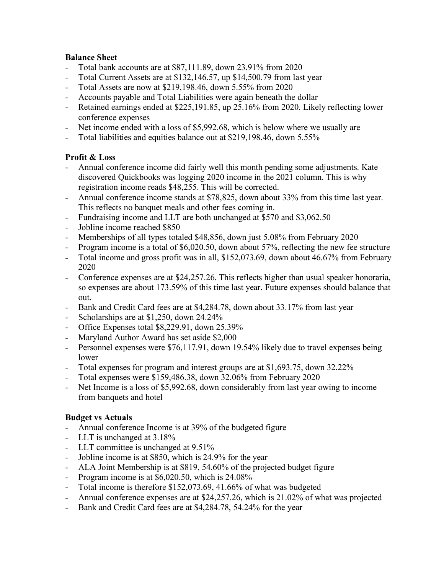# **Balance Sheet**

- Total bank accounts are at \$87,111.89, down 23.91% from 2020
- Total Current Assets are at \$132,146.57, up \$14,500.79 from last year
- Total Assets are now at \$219,198.46, down 5.55% from 2020
- Accounts payable and Total Liabilities were again beneath the dollar
- Retained earnings ended at \$225,191.85, up 25.16% from 2020. Likely reflecting lower conference expenses
- Net income ended with a loss of \$5,992.68, which is below where we usually are
- Total liabilities and equities balance out at \$219,198.46, down 5.55%

# **Profit & Loss**

- Annual conference income did fairly well this month pending some adjustments. Kate discovered Quickbooks was logging 2020 income in the 2021 column. This is why registration income reads \$48,255. This will be corrected.
- Annual conference income stands at \$78,825, down about 33% from this time last year. This reflects no banquet meals and other fees coming in.
- Fundraising income and LLT are both unchanged at \$570 and \$3,062.50
- Jobline income reached \$850
- Memberships of all types totaled \$48,856, down just 5.08% from February 2020
- Program income is a total of \$6,020.50, down about 57%, reflecting the new fee structure
- Total income and gross profit was in all, \$152,073.69, down about 46.67% from February 2020
- Conference expenses are at \$24,257.26. This reflects higher than usual speaker honoraria, so expenses are about 173.59% of this time last year. Future expenses should balance that out.
- Bank and Credit Card fees are at \$4,284.78, down about 33.17% from last year
- Scholarships are at \$1,250, down 24.24%
- Office Expenses total \$8,229.91, down 25.39%
- Maryland Author Award has set aside \$2,000
- Personnel expenses were \$76,117.91, down 19.54% likely due to travel expenses being lower
- Total expenses for program and interest groups are at \$1,693.75, down 32.22%
- Total expenses were \$159,486.38, down 32.06% from February 2020
- Net Income is a loss of \$5,992.68, down considerably from last year owing to income from banquets and hotel

# **Budget vs Actuals**

- Annual conference Income is at 39% of the budgeted figure
- LLT is unchanged at 3.18%
- LLT committee is unchanged at  $9.51\%$
- Jobline income is at \$850, which is 24.9% for the year
- ALA Joint Membership is at \$819, 54.60% of the projected budget figure
- Program income is at \$6,020.50, which is 24.08%
- Total income is therefore \$152,073.69, 41.66% of what was budgeted
- Annual conference expenses are at \$24,257.26, which is 21.02% of what was projected
- Bank and Credit Card fees are at \$4,284.78, 54.24% for the year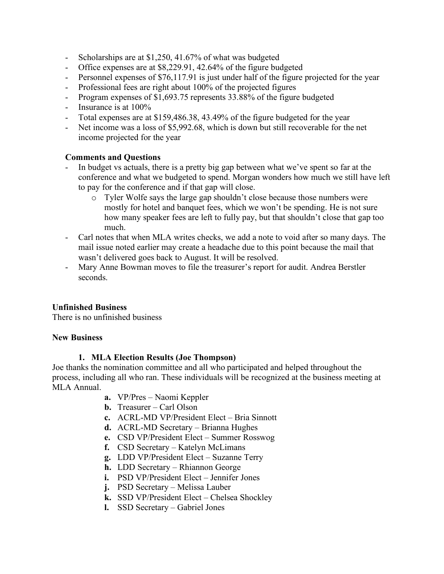- Scholarships are at \$1,250, 41.67% of what was budgeted
- Office expenses are at \$8,229.91, 42.64% of the figure budgeted
- Personnel expenses of \$76,117.91 is just under half of the figure projected for the year
- Professional fees are right about 100% of the projected figures
- Program expenses of \$1,693.75 represents 33.88% of the figure budgeted
- Insurance is at  $100\%$
- Total expenses are at \$159,486.38, 43.49% of the figure budgeted for the year
- Net income was a loss of \$5,992.68, which is down but still recoverable for the net income projected for the year

### **Comments and Questions**

- In budget vs actuals, there is a pretty big gap between what we've spent so far at the conference and what we budgeted to spend. Morgan wonders how much we still have left to pay for the conference and if that gap will close.
	- o Tyler Wolfe says the large gap shouldn't close because those numbers were mostly for hotel and banquet fees, which we won't be spending. He is not sure how many speaker fees are left to fully pay, but that shouldn't close that gap too much.
- Carl notes that when MLA writes checks, we add a note to void after so many days. The mail issue noted earlier may create a headache due to this point because the mail that wasn't delivered goes back to August. It will be resolved.
- Mary Anne Bowman moves to file the treasurer's report for audit. Andrea Berstler seconds.

# **Unfinished Business**

There is no unfinished business

### **New Business**

### **1. MLA Election Results (Joe Thompson)**

Joe thanks the nomination committee and all who participated and helped throughout the process, including all who ran. These individuals will be recognized at the business meeting at MLA Annual.

- **a.** VP/Pres Naomi Keppler
- **b.** Treasurer Carl Olson
- **c.** ACRL-MD VP/President Elect Bria Sinnott
- **d.** ACRL-MD Secretary Brianna Hughes
- **e.** CSD VP/President Elect Summer Rosswog
- **f.** CSD Secretary Katelyn McLimans
- **g.** LDD VP/President Elect Suzanne Terry
- **h.** LDD Secretary Rhiannon George
- **i.** PSD VP/President Elect Jennifer Jones
- **j.** PSD Secretary Melissa Lauber
- **k.** SSD VP/President Elect Chelsea Shockley
- **l.** SSD Secretary Gabriel Jones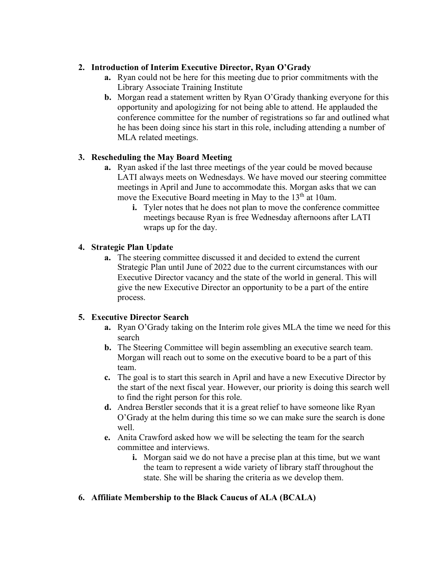# **2. Introduction of Interim Executive Director, Ryan O'Grady**

- **a.** Ryan could not be here for this meeting due to prior commitments with the Library Associate Training Institute
- **b.** Morgan read a statement written by Ryan O'Grady thanking everyone for this opportunity and apologizing for not being able to attend. He applauded the conference committee for the number of registrations so far and outlined what he has been doing since his start in this role, including attending a number of MLA related meetings.

# **3. Rescheduling the May Board Meeting**

- **a.** Ryan asked if the last three meetings of the year could be moved because LATI always meets on Wednesdays. We have moved our steering committee meetings in April and June to accommodate this. Morgan asks that we can move the Executive Board meeting in May to the  $13<sup>th</sup>$  at 10am.
	- **i.** Tyler notes that he does not plan to move the conference committee meetings because Ryan is free Wednesday afternoons after LATI wraps up for the day.

# **4. Strategic Plan Update**

**a.** The steering committee discussed it and decided to extend the current Strategic Plan until June of 2022 due to the current circumstances with our Executive Director vacancy and the state of the world in general. This will give the new Executive Director an opportunity to be a part of the entire process.

# **5. Executive Director Search**

- **a.** Ryan O'Grady taking on the Interim role gives MLA the time we need for this search
- **b.** The Steering Committee will begin assembling an executive search team. Morgan will reach out to some on the executive board to be a part of this team.
- **c.** The goal is to start this search in April and have a new Executive Director by the start of the next fiscal year. However, our priority is doing this search well to find the right person for this role.
- **d.** Andrea Berstler seconds that it is a great relief to have someone like Ryan O'Grady at the helm during this time so we can make sure the search is done well.
- **e.** Anita Crawford asked how we will be selecting the team for the search committee and interviews.
	- **i.** Morgan said we do not have a precise plan at this time, but we want the team to represent a wide variety of library staff throughout the state. She will be sharing the criteria as we develop them.
- **6. Affiliate Membership to the Black Caucus of ALA (BCALA)**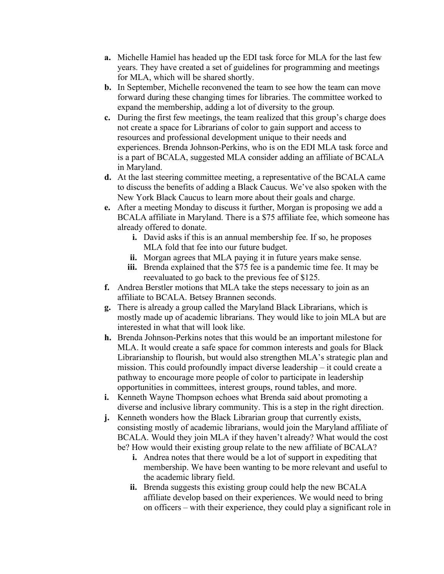- **a.** Michelle Hamiel has headed up the EDI task force for MLA for the last few years. They have created a set of guidelines for programming and meetings for MLA, which will be shared shortly.
- **b.** In September, Michelle reconvened the team to see how the team can move forward during these changing times for libraries. The committee worked to expand the membership, adding a lot of diversity to the group.
- **c.** During the first few meetings, the team realized that this group's charge does not create a space for Librarians of color to gain support and access to resources and professional development unique to their needs and experiences. Brenda Johnson-Perkins, who is on the EDI MLA task force and is a part of BCALA, suggested MLA consider adding an affiliate of BCALA in Maryland.
- **d.** At the last steering committee meeting, a representative of the BCALA came to discuss the benefits of adding a Black Caucus. We've also spoken with the New York Black Caucus to learn more about their goals and charge.
- **e.** After a meeting Monday to discuss it further, Morgan is proposing we add a BCALA affiliate in Maryland. There is a \$75 affiliate fee, which someone has already offered to donate.
	- **i.** David asks if this is an annual membership fee. If so, he proposes MLA fold that fee into our future budget.
	- **ii.** Morgan agrees that MLA paying it in future years make sense.
	- **iii.** Brenda explained that the \$75 fee is a pandemic time fee. It may be reevaluated to go back to the previous fee of \$125.
- **f.** Andrea Berstler motions that MLA take the steps necessary to join as an affiliate to BCALA. Betsey Brannen seconds.
- **g.** There is already a group called the Maryland Black Librarians, which is mostly made up of academic librarians. They would like to join MLA but are interested in what that will look like.
- **h.** Brenda Johnson-Perkins notes that this would be an important milestone for MLA. It would create a safe space for common interests and goals for Black Librarianship to flourish, but would also strengthen MLA's strategic plan and mission. This could profoundly impact diverse leadership – it could create a pathway to encourage more people of color to participate in leadership opportunities in committees, interest groups, round tables, and more.
- **i.** Kenneth Wayne Thompson echoes what Brenda said about promoting a diverse and inclusive library community. This is a step in the right direction.
- **j.** Kenneth wonders how the Black Librarian group that currently exists, consisting mostly of academic librarians, would join the Maryland affiliate of BCALA. Would they join MLA if they haven't already? What would the cost be? How would their existing group relate to the new affiliate of BCALA?
	- **i.** Andrea notes that there would be a lot of support in expediting that membership. We have been wanting to be more relevant and useful to the academic library field.
	- **ii.** Brenda suggests this existing group could help the new BCALA affiliate develop based on their experiences. We would need to bring on officers – with their experience, they could play a significant role in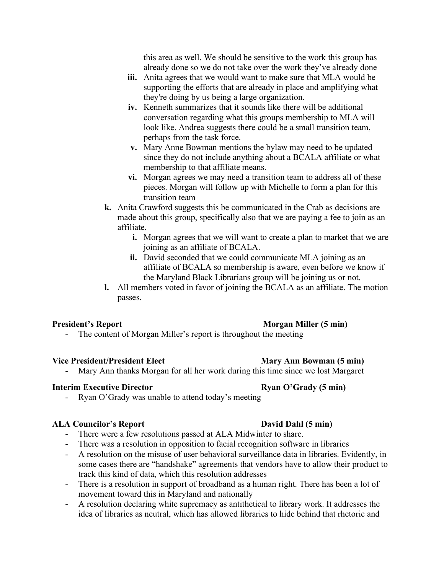this area as well. We should be sensitive to the work this group has already done so we do not take over the work they've already done

- **iii.** Anita agrees that we would want to make sure that MLA would be supporting the efforts that are already in place and amplifying what they're doing by us being a large organization.
- **iv.** Kenneth summarizes that it sounds like there will be additional conversation regarding what this groups membership to MLA will look like. Andrea suggests there could be a small transition team, perhaps from the task force.
- **v.** Mary Anne Bowman mentions the bylaw may need to be updated since they do not include anything about a BCALA affiliate or what membership to that affiliate means.
- **vi.** Morgan agrees we may need a transition team to address all of these pieces. Morgan will follow up with Michelle to form a plan for this transition team
- **k.** Anita Crawford suggests this be communicated in the Crab as decisions are made about this group, specifically also that we are paying a fee to join as an affiliate.
	- **i.** Morgan agrees that we will want to create a plan to market that we are joining as an affiliate of BCALA.
	- **ii.** David seconded that we could communicate MLA joining as an affiliate of BCALA so membership is aware, even before we know if the Maryland Black Librarians group will be joining us or not.
- **l.** All members voted in favor of joining the BCALA as an affiliate. The motion passes.

### **President's Report Morgan Miller** (5 **min**)

- The content of Morgan Miller's report is throughout the meeting

# **Vice President/President Elect Mary Ann Bowman (5 min)**

Mary Ann thanks Morgan for all her work during this time since we lost Margaret

### **Interim Executive Director Ryan O'Grady** (5 **min**)

Ryan O'Grady was unable to attend today's meeting

### **ALA Councilor's Report David Dahl (5 min)**

- There were a few resolutions passed at ALA Midwinter to share.
- There was a resolution in opposition to facial recognition software in libraries
- A resolution on the misuse of user behavioral surveillance data in libraries. Evidently, in some cases there are "handshake" agreements that vendors have to allow their product to track this kind of data, which this resolution addresses
- There is a resolution in support of broadband as a human right. There has been a lot of movement toward this in Maryland and nationally
- A resolution declaring white supremacy as antithetical to library work. It addresses the idea of libraries as neutral, which has allowed libraries to hide behind that rhetoric and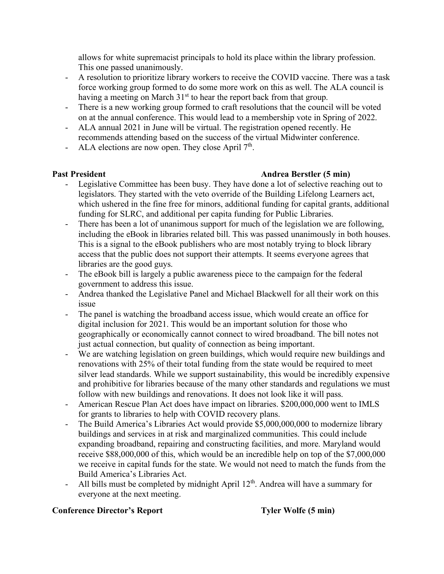allows for white supremacist principals to hold its place within the library profession. This one passed unanimously.

- A resolution to prioritize library workers to receive the COVID vaccine. There was a task force working group formed to do some more work on this as well. The ALA council is having a meeting on March  $31<sup>st</sup>$  to hear the report back from that group.
- There is a new working group formed to craft resolutions that the council will be voted on at the annual conference. This would lead to a membership vote in Spring of 2022.
- ALA annual 2021 in June will be virtual. The registration opened recently. He recommends attending based on the success of the virtual Midwinter conference.
- ALA elections are now open. They close April  $7<sup>th</sup>$ .

# **Past President Andrea Berstler (5 min)**

- Legislative Committee has been busy. They have done a lot of selective reaching out to legislators. They started with the veto override of the Building Lifelong Learners act, which ushered in the fine free for minors, additional funding for capital grants, additional funding for SLRC, and additional per capita funding for Public Libraries.
- There has been a lot of unanimous support for much of the legislation we are following, including the eBook in libraries related bill. This was passed unanimously in both houses. This is a signal to the eBook publishers who are most notably trying to block library access that the public does not support their attempts. It seems everyone agrees that libraries are the good guys.
- The eBook bill is largely a public awareness piece to the campaign for the federal government to address this issue.
- Andrea thanked the Legislative Panel and Michael Blackwell for all their work on this issue
- The panel is watching the broadband access issue, which would create an office for digital inclusion for 2021. This would be an important solution for those who geographically or economically cannot connect to wired broadband. The bill notes not just actual connection, but quality of connection as being important.
- We are watching legislation on green buildings, which would require new buildings and renovations with 25% of their total funding from the state would be required to meet silver lead standards. While we support sustainability, this would be incredibly expensive and prohibitive for libraries because of the many other standards and regulations we must follow with new buildings and renovations. It does not look like it will pass.
- American Rescue Plan Act does have impact on libraries. \$200,000,000 went to IMLS for grants to libraries to help with COVID recovery plans.
- The Build America's Libraries Act would provide \$5,000,000,000 to modernize library buildings and services in at risk and marginalized communities. This could include expanding broadband, repairing and constructing facilities, and more. Maryland would receive \$88,000,000 of this, which would be an incredible help on top of the \$7,000,000 we receive in capital funds for the state. We would not need to match the funds from the Build America's Libraries Act.
- All bills must be completed by midnight April 12<sup>th</sup>. Andrea will have a summary for everyone at the next meeting.

# **Conference Director's Report Tyler Wolfe (5 min)**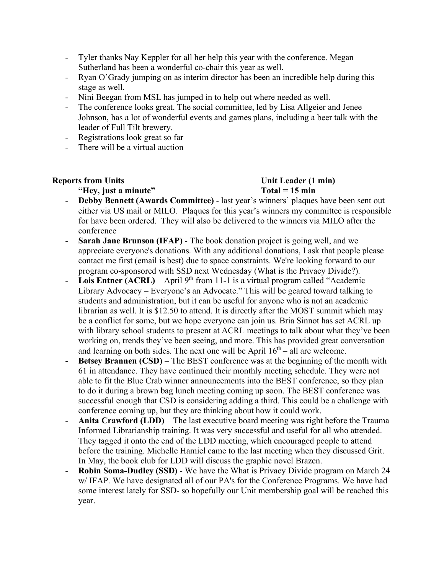- Tyler thanks Nay Keppler for all her help this year with the conference. Megan Sutherland has been a wonderful co-chair this year as well.
- Ryan O'Grady jumping on as interim director has been an incredible help during this stage as well.
- Nini Beegan from MSL has jumped in to help out where needed as well.
- The conference looks great. The social committee, led by Lisa Allgeier and Jenee Johnson, has a lot of wonderful events and games plans, including a beer talk with the leader of Full Tilt brewery.
- Registrations look great so far
- There will be a virtual auction

### **"Hey, just a minute" Total = 15 min**

# **Reports from Units Unit Leader (1 min)**

- **Debby Bennett (Awards Committee)** last year's winners' plaques have been sent out either via US mail or MILO. Plaques for this year's winners my committee is responsible for have been ordered. They will also be delivered to the winners via MILO after the conference
- **Sarah Jane Brunson (IFAP)** The book donation project is going well, and we appreciate everyone's donations. With any additional donations, I ask that people please contact me first (email is best) due to space constraints. We're looking forward to our program co-sponsored with SSD next Wednesday (What is the Privacy Divide?).
- **Lois Entner (ACRL)** April 9<sup>th</sup> from 11-1 is a virtual program called "Academic Library Advocacy – Everyone's an Advocate." This will be geared toward talking to students and administration, but it can be useful for anyone who is not an academic librarian as well. It is \$12.50 to attend. It is directly after the MOST summit which may be a conflict for some, but we hope everyone can join us. Bria Sinnot has set ACRL up with library school students to present at ACRL meetings to talk about what they've been working on, trends they've been seeing, and more. This has provided great conversation and learning on both sides. The next one will be April  $16<sup>th</sup>$  – all are welcome.
- **Betsey Brannen (CSD)** The BEST conference was at the beginning of the month with 61 in attendance. They have continued their monthly meeting schedule. They were not able to fit the Blue Crab winner announcements into the BEST conference, so they plan to do it during a brown bag lunch meeting coming up soon. The BEST conference was successful enough that CSD is considering adding a third. This could be a challenge with conference coming up, but they are thinking about how it could work.
- Anita Crawford (LDD) The last executive board meeting was right before the Trauma Informed Librarianship training. It was very successful and useful for all who attended. They tagged it onto the end of the LDD meeting, which encouraged people to attend before the training. Michelle Hamiel came to the last meeting when they discussed Grit. In May, the book club for LDD will discuss the graphic novel Brazen.
- **Robin Soma-Dudley (SSD)** We have the What is Privacy Divide program on March 24 w/ IFAP. We have designated all of our PA's for the Conference Programs. We have had some interest lately for SSD- so hopefully our Unit membership goal will be reached this year.